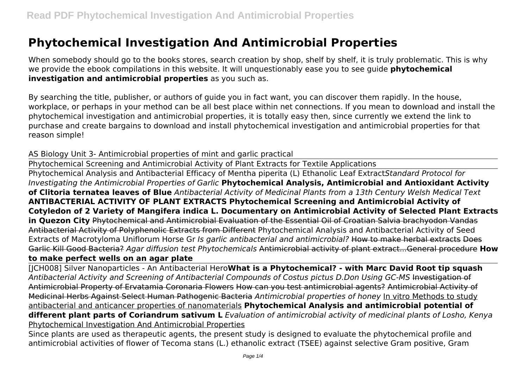# **Phytochemical Investigation And Antimicrobial Properties**

When somebody should go to the books stores, search creation by shop, shelf by shelf, it is truly problematic. This is why we provide the ebook compilations in this website. It will unquestionably ease you to see guide **phytochemical investigation and antimicrobial properties** as you such as.

By searching the title, publisher, or authors of guide you in fact want, you can discover them rapidly. In the house, workplace, or perhaps in your method can be all best place within net connections. If you mean to download and install the phytochemical investigation and antimicrobial properties, it is totally easy then, since currently we extend the link to purchase and create bargains to download and install phytochemical investigation and antimicrobial properties for that reason simple!

AS Biology Unit 3- Antimicrobial properties of mint and garlic practical

Phytochemical Screening and Antimicrobial Activity of Plant Extracts for Textile Applications

Phytochemical Analysis and Antibacterial Efficacy of Mentha piperita (L) Ethanolic Leaf Extract*Standard Protocol for Investigating the Antimicrobial Properties of Garlic* **Phytochemical Analysis, Antimicrobial and Antioxidant Activity of Clitoria ternatea leaves of Blue** *Antibacterial Activity of Medicinal Plants from a 13th Century Welsh Medical Text* **ANTIBACTERIAL ACTIVITY OF PLANT EXTRACTS Phytochemical Screening and Antimicrobial Activity of Cotyledon of 2 Variety of Mangifera indica L. Documentary on Antimicrobial Activity of Selected Plant Extracts in Quezon City** Phytochemical and Antimicrobial Evaluation of the Essential Oil of Croatian Salvia brachyodon Vandas Antibacterial Activity of Polyphenolic Extracts from Different Phytochemical Analysis and Antibacterial Activity of Seed Extracts of Macrotyloma Uniflorum Horse Gr *Is garlic antibacterial and antimicrobial?* How to make herbal extracts Does Garlic Kill Good Bacteria? *Agar diffusion test Phytochemicals* Antimicrobial activity of plant extract...General procedure **How to make perfect wells on an agar plate**

[JCH008] Silver Nanoparticles - An Antibacterial Hero**What is a Phytochemical? - with Marc David Root tip squash** *Antibacterial Activity and Screening of Antibacterial Compounds of Costus pictus D.Don Using GC-MS* Investigation of Antimicrobial Property of Ervatamia Coronaria Flowers How can you test antimicrobial agents? Antimicrobial Activity of Medicinal Herbs Against Select Human Pathogenic Bacteria *Antimicrobial properties of honey* In vitro Methods to study antibacterial and anticancer properties of nanomaterials **Phytochemical Analysis and antimicrobial potential of different plant parts of Coriandrum sativum L** *Evaluation of antimicrobial activity of medicinal plants of Losho, Kenya* Phytochemical Investigation And Antimicrobial Properties

Since plants are used as therapeutic agents, the present study is designed to evaluate the phytochemical profile and antimicrobial activities of flower of Tecoma stans (L.) ethanolic extract (TSEE) against selective Gram positive, Gram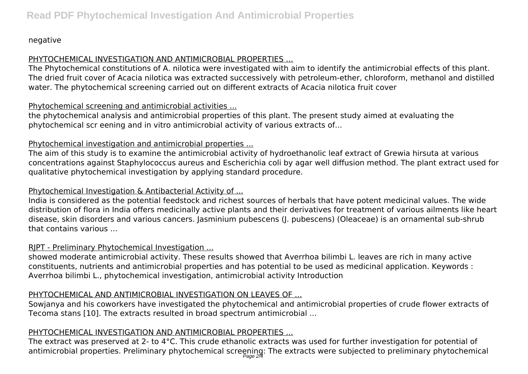negative

# PHYTOCHEMICAL INVESTIGATION AND ANTIMICROBIAL PROPERTIES ...

The Phytochemical constitutions of A. nilotica were investigated with aim to identify the antimicrobial effects of this plant. The dried fruit cover of Acacia nilotica was extracted successively with petroleum-ether, chloroform, methanol and distilled water. The phytochemical screening carried out on different extracts of Acacia nilotica fruit cover

# Phytochemical screening and antimicrobial activities ...

the phytochemical analysis and antimicrobial properties of this plant. The present study aimed at evaluating the phytochemical scr eening and in vitro antimicrobial activity of various extracts of...

## Phytochemical investigation and antimicrobial properties ...

The aim of this study is to examine the antimicrobial activity of hydroethanolic leaf extract of Grewia hirsuta at various concentrations against Staphylococcus aureus and Escherichia coli by agar well diffusion method. The plant extract used for qualitative phytochemical investigation by applying standard procedure.

## Phytochemical Investigation & Antibacterial Activity of ...

India is considered as the potential feedstock and richest sources of herbals that have potent medicinal values. The wide distribution of flora in India offers medicinally active plants and their derivatives for treatment of various ailments like heart disease, skin disorders and various cancers. Jasminium pubescens (J. pubescens) (Oleaceae) is an ornamental sub-shrub that contains various ...

#### RJPT - Preliminary Phytochemical Investigation ...

showed moderate antimicrobial activity. These results showed that Averrhoa bilimbi L. leaves are rich in many active constituents, nutrients and antimicrobial properties and has potential to be used as medicinal application. Keywords : Averrhoa bilimbi L., phytochemical investigation, antimicrobial activity Introduction

# PHYTOCHEMICAL AND ANTIMICROBIAL INVESTIGATION ON LEAVES OF ...

Sowjanya and his coworkers have investigated the phytochemical and antimicrobial properties of crude flower extracts of Tecoma stans [10]. The extracts resulted in broad spectrum antimicrobial ...

# PHYTOCHEMICAL INVESTIGATION AND ANTIMICROBIAL PROPERTIES ...

The extract was preserved at 2- to 4°C. This crude ethanolic extracts was used for further investigation for potential of antimicrobial properties. Preliminary phytochemical screening: The extracts were subjected to preliminary phytochemical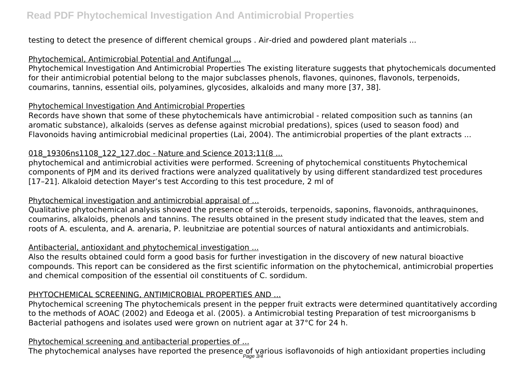testing to detect the presence of different chemical groups . Air-dried and powdered plant materials ...

## Phytochemical, Antimicrobial Potential and Antifungal ...

Phytochemical Investigation And Antimicrobial Properties The existing literature suggests that phytochemicals documented for their antimicrobial potential belong to the major subclasses phenols, flavones, quinones, flavonols, terpenoids, coumarins, tannins, essential oils, polyamines, glycosides, alkaloids and many more [37, 38].

# Phytochemical Investigation And Antimicrobial Properties

Records have shown that some of these phytochemicals have antimicrobial - related composition such as tannins (an aromatic substance), alkaloids (serves as defense against microbial predations), spices (used to season food) and Flavonoids having antimicrobial medicinal properties (Lai, 2004). The antimicrobial properties of the plant extracts ...

# 018 19306ns1108 122 127.doc - Nature and Science 2013;11(8 ...

phytochemical and antimicrobial activities were performed. Screening of phytochemical constituents Phytochemical components of PJM and its derived fractions were analyzed qualitatively by using different standardized test procedures [17–21]. Alkaloid detection Mayer's test According to this test procedure, 2 ml of

# Phytochemical investigation and antimicrobial appraisal of ...

Qualitative phytochemical analysis showed the presence of steroids, terpenoids, saponins, flavonoids, anthraquinones, coumarins, alkaloids, phenols and tannins. The results obtained in the present study indicated that the leaves, stem and roots of A. esculenta, and A. arenaria, P. leubnitziae are potential sources of natural antioxidants and antimicrobials.

# Antibacterial, antioxidant and phytochemical investigation ...

Also the results obtained could form a good basis for further investigation in the discovery of new natural bioactive compounds. This report can be considered as the first scientific information on the phytochemical, antimicrobial properties and chemical composition of the essential oil constituents of C. sordidum.

# PHYTOCHEMICAL SCREENING, ANTIMICROBIAL PROPERTIES AND ...

Phytochemical screening The phytochemicals present in the pepper fruit extracts were determined quantitatively according to the methods of AOAC (2002) and Edeoga et al. (2005). a Antimicrobial testing Preparation of test microorganisms b Bacterial pathogens and isolates used were grown on nutrient agar at 37°C for 24 h.

#### Phytochemical screening and antibacterial properties of ...

The phytochemical analyses have reported the presence of various isoflavonoids of high antioxidant properties including